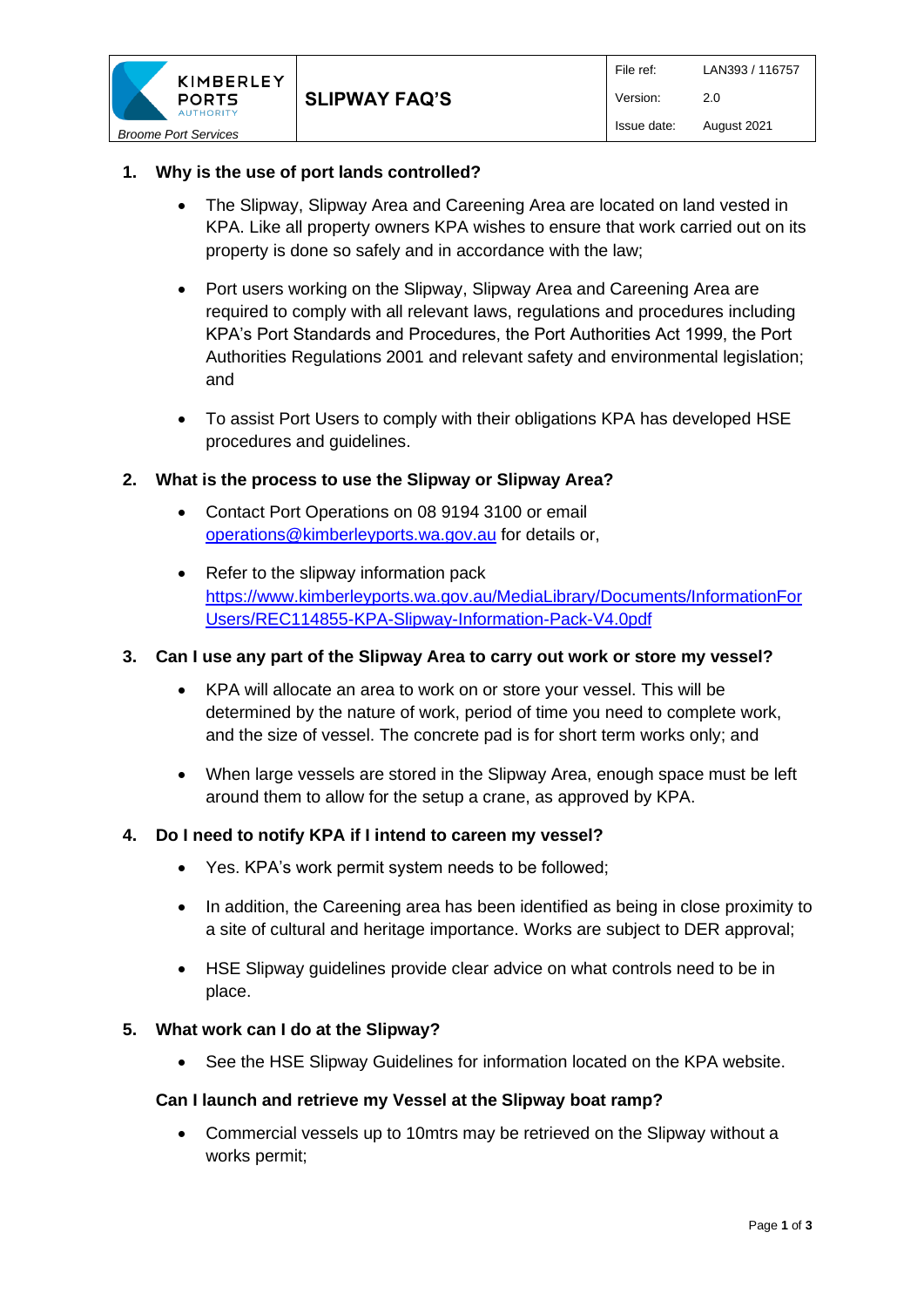

## **1. Why is the use of port lands controlled?**

- The Slipway, Slipway Area and Careening Area are located on land vested in KPA. Like all property owners KPA wishes to ensure that work carried out on its property is done so safely and in accordance with the law;
- Port users working on the Slipway, Slipway Area and Careening Area are required to comply with all relevant laws, regulations and procedures including KPA's Port Standards and Procedures, the Port Authorities Act 1999, the Port Authorities Regulations 2001 and relevant safety and environmental legislation; and
- To assist Port Users to comply with their obligations KPA has developed HSE procedures and guidelines.

## **2. What is the process to use the Slipway or Slipway Area?**

- Contact Port Operations on 08 9194 3100 or email [operations@kimberleyports.wa.gov.au](mailto:operations@kimberleyports.wa.gov.au) for details or,
- Refer to the slipway information pack [https://www.kimberleyports.wa.gov.au/MediaLibrary/Documents/InformationFor](https://www.kimberleyports.wa.gov.au/MediaLibrary/Documents/InformationForUsers/REC114855-KPA-Slipway-Information-Pack-V4.0pdf) [Users/REC114855-KPA-Slipway-Information-Pack-V4.0pdf](https://www.kimberleyports.wa.gov.au/MediaLibrary/Documents/InformationForUsers/REC114855-KPA-Slipway-Information-Pack-V4.0pdf)

#### **3. Can I use any part of the Slipway Area to carry out work or store my vessel?**

- KPA will allocate an area to work on or store your vessel. This will be determined by the nature of work, period of time you need to complete work, and the size of vessel. The concrete pad is for short term works only; and
- When large vessels are stored in the Slipway Area, enough space must be left around them to allow for the setup a crane, as approved by KPA.

#### **4. Do I need to notify KPA if I intend to careen my vessel?**

- Yes. KPA's work permit system needs to be followed;
- In addition, the Careening area has been identified as being in close proximity to a site of cultural and heritage importance. Works are subject to DER approval;
- HSE Slipway guidelines provide clear advice on what controls need to be in place.

#### **5. What work can I do at the Slipway?**

• See the HSE Slipway Guidelines for information located on the KPA website.

#### **Can I launch and retrieve my Vessel at the Slipway boat ramp?**

• Commercial vessels up to 10mtrs may be retrieved on the Slipway without a works permit;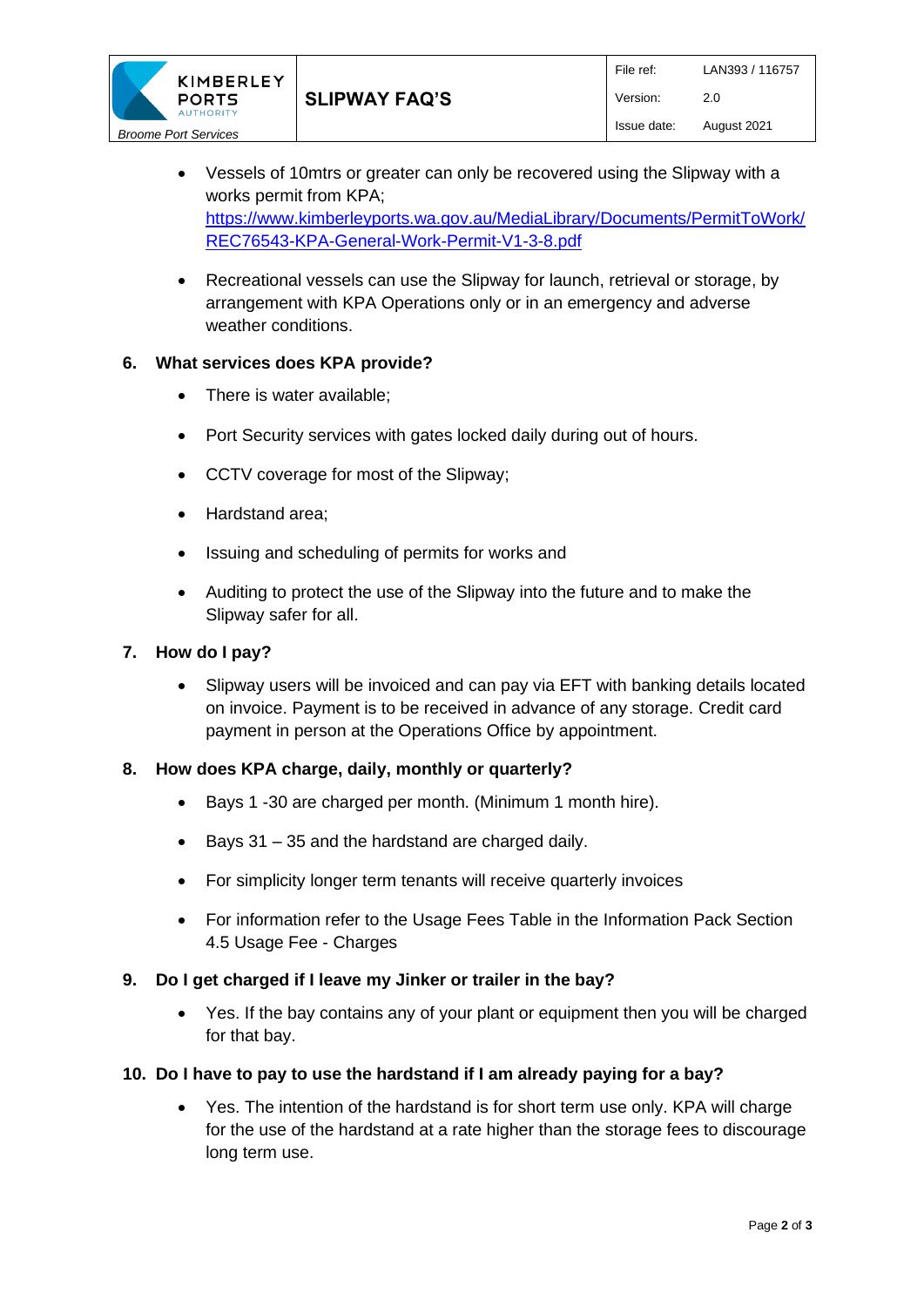

- Vessels of 10mtrs or greater can only be recovered using the Slipway with a works permit from KPA; [https://www.kimberleyports.wa.gov.au/MediaLibrary/Documents/PermitToWork/](https://www.kimberleyports.wa.gov.au/MediaLibrary/Documents/PermitToWork/REC76543-KPA-General-Work-Permit-V1-3-8.pdf) [REC76543-KPA-General-Work-Permit-V1-3-8.pdf](https://www.kimberleyports.wa.gov.au/MediaLibrary/Documents/PermitToWork/REC76543-KPA-General-Work-Permit-V1-3-8.pdf)
- Recreational vessels can use the Slipway for launch, retrieval or storage, by arrangement with KPA Operations only or in an emergency and adverse weather conditions.

#### **6. What services does KPA provide?**

- There is water available;
- Port Security services with gates locked daily during out of hours.
- CCTV coverage for most of the Slipway;
- Hardstand area;
- Issuing and scheduling of permits for works and
- Auditing to protect the use of the Slipway into the future and to make the Slipway safer for all.

#### **7. How do I pay?**

• Slipway users will be invoiced and can pay via EFT with banking details located on invoice. Payment is to be received in advance of any storage. Credit card payment in person at the Operations Office by appointment.

#### **8. How does KPA charge, daily, monthly or quarterly?**

- Bays 1 -30 are charged per month. (Minimum 1 month hire).
- Bays 31 35 and the hardstand are charged daily.
- For simplicity longer term tenants will receive quarterly invoices
- For information refer to the Usage Fees Table in the Information Pack Section 4.5 Usage Fee - Charges

#### **9. Do I get charged if I leave my Jinker or trailer in the bay?**

• Yes. If the bay contains any of your plant or equipment then you will be charged for that bay.

#### **10. Do I have to pay to use the hardstand if I am already paying for a bay?**

• Yes. The intention of the hardstand is for short term use only. KPA will charge for the use of the hardstand at a rate higher than the storage fees to discourage long term use.